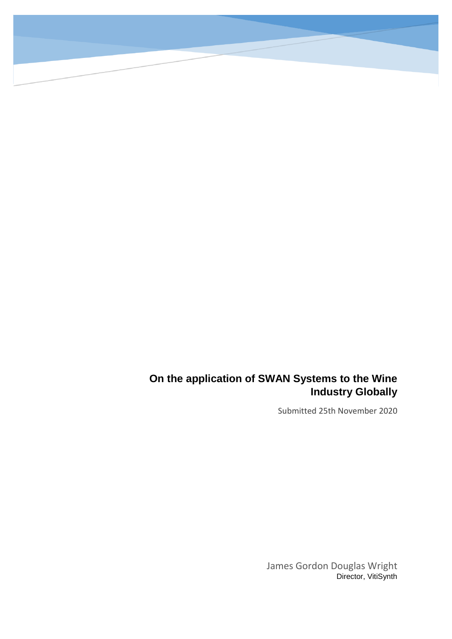### **On the application of SWAN Systems to the Wine Industry Globally**

Submitted 25th November 2020

James Gordon Douglas Wright Director, VitiSynth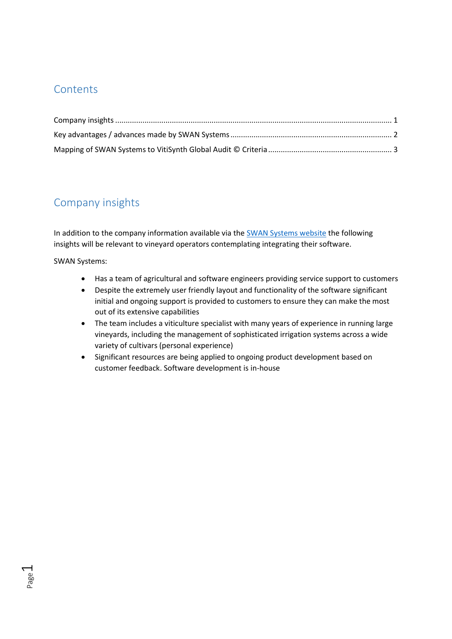#### **Contents**

### <span id="page-1-0"></span>Company insights

In addition to the company information available via the **SWAN Systems** website the following insights will be relevant to vineyard operators contemplating integrating their software.

SWAN Systems:

Page  $\overline{\phantom{0}}$ 

- Has a team of agricultural and software engineers providing service support to customers
- Despite the extremely user friendly layout and functionality of the software significant initial and ongoing support is provided to customers to ensure they can make the most out of its extensive capabilities
- The team includes a viticulture specialist with many years of experience in running large vineyards, including the management of sophisticated irrigation systems across a wide variety of cultivars (personal experience)
- Significant resources are being applied to ongoing product development based on customer feedback. Software development is in-house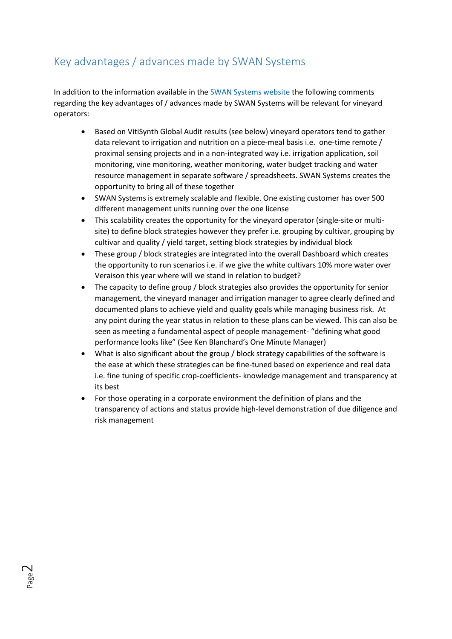# <span id="page-2-0"></span>Key advantages / advances made by SWAN Systems

In addition to the information available in the [SWAN Systems website](https://www.swansystems.com.au/industries/viticulture/) the following comments regarding the key advantages of / advances made by SWAN Systems will be relevant for vineyard operators:

- Based on VitiSynth Global Audit results (see below) vineyard operators tend to gather data relevant to irrigation and nutrition on a piece-meal basis i.e. one-time remote / proximal sensing projects and in a non-integrated way i.e. irrigation application, soil monitoring, vine monitoring, weather monitoring, water budget tracking and water resource management in separate software / spreadsheets. SWAN Systems creates the opportunity to bring all of these together
- SWAN Systems is extremely scalable and flexible. One existing customer has over 500 different management units running over the one license
- This scalability creates the opportunity for the vineyard operator (single-site or multisite) to define block strategies however they prefer i.e. grouping by cultivar, grouping by cultivar and quality / yield target, setting block strategies by individual block
- These group / block strategies are integrated into the overall Dashboard which creates the opportunity to run scenarios i.e. if we give the white cultivars 10% more water over Veraison this year where will we stand in relation to budget?
- The capacity to define group / block strategies also provides the opportunity for senior management, the vineyard manager and irrigation manager to agree clearly defined and documented plans to achieve yield and quality goals while managing business risk. At any point during the year status in relation to these plans can be viewed. This can also be seen as meeting a fundamental aspect of people management- "defining what good performance looks like" (See Ken Blanchard's One Minute Manager)
- What is also significant about the group / block strategy capabilities of the software is the ease at which these strategies can be fine-tuned based on experience and real data i.e. fine tuning of specific crop-coefficients- knowledge management and transparency at its best
- For those operating in a corporate environment the definition of plans and the transparency of actions and status provide high-level demonstration of due diligence and risk management

Page  $\sim$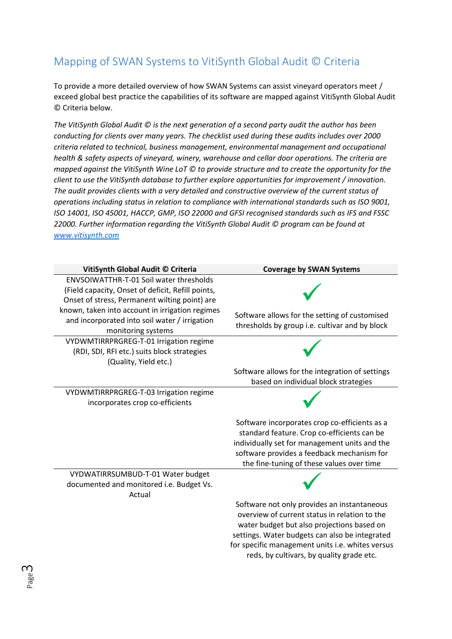# <span id="page-3-0"></span>Mapping of SWAN Systems to VitiSynth Global Audit © Criteria

To provide a more detailed overview of how SWAN Systems can assist vineyard operators meet / exceed global best practice the capabilities of its software are mapped against VitiSynth Global Audit © Criteria below.

*The VitiSynth Global Audit © is the next generation of a second party audit the author has been conducting for clients over many years. The checklist used during these audits includes over 2000 criteria related to technical, business management, environmental management and occupational health & safety aspects of vineyard, winery, warehouse and cellar door operations. The criteria are mapped against the VitiSynth Wine LoT © to provide structure and to create the opportunity for the client to use the VitiSynth database to further explore opportunities for improvement / innovation. The audit provides clients with a very detailed and constructive overview of the current status of operations including status in relation to compliance with international standards such as ISO 9001, ISO 14001, ISO 45001, HACCP, GMP, ISO 22000 and GFSI recognised standards such as IFS and FSSC 22000. Further information regarding the VitiSynth Global Audit © program can be found at [www.vitisynth.com](http://www.vitisynth.com/)*

| VitiSynth Global Audit © Criteria                                                     | <b>Coverage by SWAN Systems</b>                  |
|---------------------------------------------------------------------------------------|--------------------------------------------------|
| <b>ENVSOIWATTHR-T-01 Soil water thresholds</b>                                        |                                                  |
| (Field capacity, Onset of deficit, Refill points,                                     |                                                  |
| Onset of stress, Permanent wilting point) are                                         |                                                  |
| known, taken into account in irrigation regimes                                       | Software allows for the setting of customised    |
| and incorporated into soil water / irrigation                                         | thresholds by group i.e. cultivar and by block   |
| monitoring systems                                                                    |                                                  |
| VYDWMTIRRPRGREG-T-01 Irrigation regime<br>(RDI, SDI, RFI etc.) suits block strategies |                                                  |
| (Quality, Yield etc.)                                                                 |                                                  |
|                                                                                       | Software allows for the integration of settings  |
|                                                                                       | based on individual block strategies             |
| VYDWMTIRRPRGREG-T-03 Irrigation regime                                                |                                                  |
| incorporates crop co-efficients                                                       |                                                  |
|                                                                                       |                                                  |
|                                                                                       | Software incorporates crop co-efficients as a    |
|                                                                                       | standard feature. Crop co-efficients can be      |
|                                                                                       | individually set for management units and the    |
|                                                                                       | software provides a feedback mechanism for       |
| VYDWATIRRSUMBUD-T-01 Water budget                                                     | the fine-tuning of these values over time        |
| documented and monitored i.e. Budget Vs.                                              |                                                  |
| Actual                                                                                |                                                  |
|                                                                                       | Software not only provides an instantaneous      |
|                                                                                       | overview of current status in relation to the    |
|                                                                                       | water budget but also projections based on       |
|                                                                                       | settings. Water budgets can also be integrated   |
|                                                                                       | for specific management units i.e. whites versus |
|                                                                                       | reds, by cultivars, by quality grade etc.        |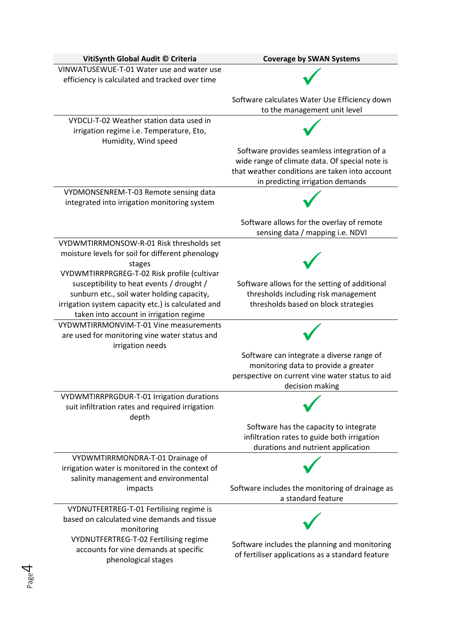| VitiSynth Global Audit © Criteria                                                            | <b>Coverage by SWAN Systems</b>                                                               |
|----------------------------------------------------------------------------------------------|-----------------------------------------------------------------------------------------------|
| VINWATUSEWUE-T-01 Water use and water use                                                    |                                                                                               |
| efficiency is calculated and tracked over time                                               |                                                                                               |
|                                                                                              | Software calculates Water Use Efficiency down                                                 |
|                                                                                              | to the management unit level                                                                  |
| VYDCLI-T-02 Weather station data used in                                                     |                                                                                               |
| irrigation regime i.e. Temperature, Eto,                                                     |                                                                                               |
| Humidity, Wind speed                                                                         |                                                                                               |
|                                                                                              | Software provides seamless integration of a<br>wide range of climate data. Of special note is |
|                                                                                              | that weather conditions are taken into account                                                |
|                                                                                              | in predicting irrigation demands                                                              |
| VYDMONSENREM-T-03 Remote sensing data                                                        |                                                                                               |
| integrated into irrigation monitoring system                                                 |                                                                                               |
|                                                                                              | Software allows for the overlay of remote                                                     |
|                                                                                              | sensing data / mapping i.e. NDVI                                                              |
| VYDWMTIRRMONSOW-R-01 Risk thresholds set                                                     |                                                                                               |
| moisture levels for soil for different phenology                                             |                                                                                               |
| stages                                                                                       |                                                                                               |
| VYDWMTIRRPRGREG-T-02 Risk profile (cultivar<br>susceptibility to heat events / drought /     | Software allows for the setting of additional                                                 |
| sunburn etc., soil water holding capacity,                                                   | thresholds including risk management                                                          |
| irrigation system capacity etc.) is calculated and                                           | thresholds based on block strategies                                                          |
| taken into account in irrigation regime                                                      |                                                                                               |
| VYDWMTIRRMONVIM-T-01 Vine measurements                                                       |                                                                                               |
| are used for monitoring vine water status and<br>irrigation needs                            |                                                                                               |
|                                                                                              | Software can integrate a diverse range of                                                     |
|                                                                                              | monitoring data to provide a greater                                                          |
|                                                                                              | perspective on current vine water status to aid                                               |
|                                                                                              | decision making                                                                               |
| VYDWMTIRRPRGDUR-T-01 Irrigation durations<br>suit infiltration rates and required irrigation |                                                                                               |
| depth                                                                                        |                                                                                               |
|                                                                                              | Software has the capacity to integrate                                                        |
|                                                                                              | infiltration rates to guide both irrigation                                                   |
|                                                                                              | durations and nutrient application                                                            |
| VYDWMTIRRMONDRA-T-01 Drainage of<br>irrigation water is monitored in the context of          |                                                                                               |
| salinity management and environmental                                                        |                                                                                               |
| impacts                                                                                      | Software includes the monitoring of drainage as                                               |
|                                                                                              | a standard feature                                                                            |
| VYDNUTFERTREG-T-01 Fertilising regime is                                                     |                                                                                               |
| based on calculated vine demands and tissue<br>monitoring                                    |                                                                                               |
| VYDNUTFERTREG-T-02 Fertilising regime                                                        |                                                                                               |
| accounts for vine demands at specific                                                        | Software includes the planning and monitoring                                                 |
| phenological stages                                                                          | of fertiliser applications as a standard feature                                              |
|                                                                                              |                                                                                               |

Page 4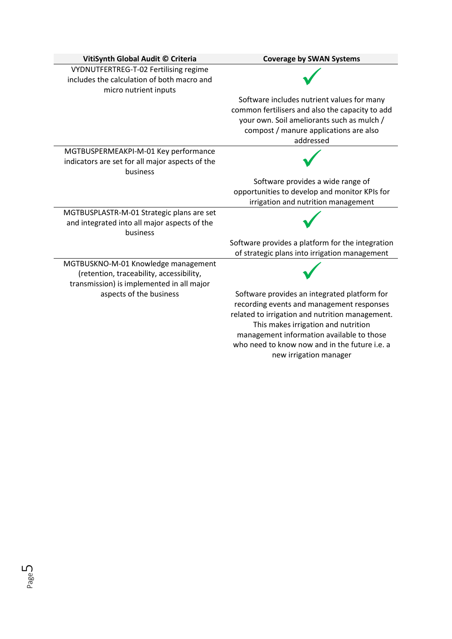| VitiSynth Global Audit © Criteria                                                                                            | <b>Coverage by SWAN Systems</b>                                                                                                                                                                                                                                                                             |
|------------------------------------------------------------------------------------------------------------------------------|-------------------------------------------------------------------------------------------------------------------------------------------------------------------------------------------------------------------------------------------------------------------------------------------------------------|
| VYDNUTFERTREG-T-02 Fertilising regime<br>includes the calculation of both macro and<br>micro nutrient inputs                 |                                                                                                                                                                                                                                                                                                             |
|                                                                                                                              | Software includes nutrient values for many<br>common fertilisers and also the capacity to add<br>your own. Soil ameliorants such as mulch /<br>compost / manure applications are also<br>addressed                                                                                                          |
| MGTBUSPERMEAKPI-M-01 Key performance<br>indicators are set for all major aspects of the<br>business                          |                                                                                                                                                                                                                                                                                                             |
|                                                                                                                              | Software provides a wide range of                                                                                                                                                                                                                                                                           |
|                                                                                                                              | opportunities to develop and monitor KPIs for                                                                                                                                                                                                                                                               |
|                                                                                                                              | irrigation and nutrition management                                                                                                                                                                                                                                                                         |
| MGTBUSPLASTR-M-01 Strategic plans are set<br>and integrated into all major aspects of the<br>business                        |                                                                                                                                                                                                                                                                                                             |
|                                                                                                                              | Software provides a platform for the integration                                                                                                                                                                                                                                                            |
|                                                                                                                              | of strategic plans into irrigation management                                                                                                                                                                                                                                                               |
| MGTBUSKNO-M-01 Knowledge management<br>(retention, traceability, accessibility,<br>transmission) is implemented in all major |                                                                                                                                                                                                                                                                                                             |
| aspects of the business                                                                                                      | Software provides an integrated platform for<br>recording events and management responses<br>related to irrigation and nutrition management.<br>This makes irrigation and nutrition<br>management information available to those<br>who need to know now and in the future i.e. a<br>new irrigation manager |

Page ഥ